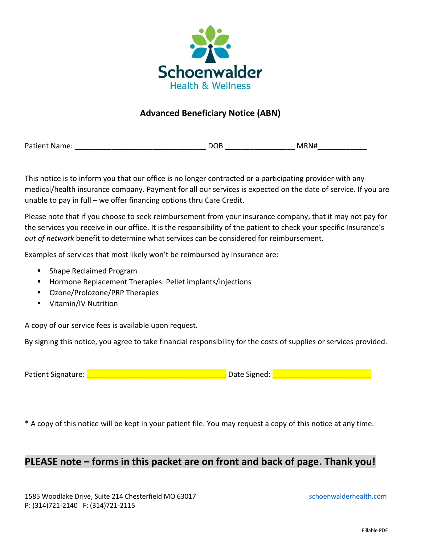

## **Advanced Beneficiary Notice (ABN)**

Patient Name: The Contract of the Contract of DOB and MRN#

This notice is to inform you that our office is no longer contracted or a participating provider with any medical/health insurance company. Payment for all our services is expected on the date of service. If you are unable to pay in full – we offer financing options thru Care Credit.

Please note that if you choose to seek reimbursement from your insurance company, that it may not pay for the services you receive in our office. It is the responsibility of the patient to check your specific Insurance's *out of network* benefit to determine what services can be considered for reimbursement.

Examples of services that most likely won't be reimbursed by insurance are:

- Shape Reclaimed Program
- Hormone Replacement Therapies: Pellet implants/injections
- Ozone/Prolozone/PRP Therapies
- Vitamin/IV Nutrition

A copy of our service fees is available upon request.

By signing this notice, you agree to take financial responsibility for the costs of supplies or services provided.

Patient Signature: \_\_\_\_\_\_\_\_\_\_\_\_\_\_\_\_\_\_\_\_\_\_\_\_\_\_\_\_\_\_\_\_\_\_ Date Signed: \_\_\_\_\_\_\_\_\_\_\_\_\_\_\_\_\_\_\_\_\_\_\_\_

\* A copy of this notice will be kept in your patient file. You may request a copy of this notice at any time.

# **PLEASE note – forms in this packet are on front and back of page. Thank you!**

1585 Woodlake Drive, Suite 214 Chesterfield MO 63017 [schoenwalderhealth.com](http://www.shwcenter.com/) P: (314)721-2140 F: (314)721-2115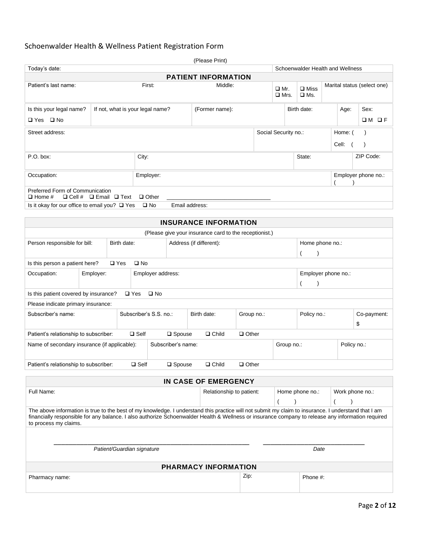## Schoenwalder Health & Wellness Patient Registration Form

| (Please Print)                                                                                                                                                                                                                                                                                                                    |                                  |               |                         |                                                     |                  |            |                                                        |                     |                |                                  |             |                                 |                             |         |                     |
|-----------------------------------------------------------------------------------------------------------------------------------------------------------------------------------------------------------------------------------------------------------------------------------------------------------------------------------|----------------------------------|---------------|-------------------------|-----------------------------------------------------|------------------|------------|--------------------------------------------------------|---------------------|----------------|----------------------------------|-------------|---------------------------------|-----------------------------|---------|---------------------|
| Today's date:                                                                                                                                                                                                                                                                                                                     |                                  |               |                         |                                                     |                  |            |                                                        |                     |                | Schoenwalder Health and Wellness |             |                                 |                             |         |                     |
| <b>PATIENT INFORMATION</b>                                                                                                                                                                                                                                                                                                        |                                  |               |                         |                                                     |                  |            |                                                        |                     |                |                                  |             |                                 |                             |         |                     |
| First:<br>Patient's last name:                                                                                                                                                                                                                                                                                                    |                                  |               |                         |                                                     |                  |            | Middle:                                                |                     |                | $\Box$ Mr.<br>$\square$ Mrs.     |             | $\square$ Miss<br>$\square$ Ms. | Marital status (select one) |         |                     |
| Is this your legal name?                                                                                                                                                                                                                                                                                                          | If not, what is your legal name? |               |                         |                                                     |                  |            | (Former name):                                         |                     |                |                                  |             | Birth date:                     |                             | Age:    | Sex:                |
| <b>□</b> Yes □ No                                                                                                                                                                                                                                                                                                                 |                                  |               |                         |                                                     |                  |            |                                                        |                     |                |                                  |             |                                 |                             |         | $OM$ OF             |
| Street address:                                                                                                                                                                                                                                                                                                                   |                                  |               |                         |                                                     |                  |            |                                                        |                     |                | Social Security no.:             |             |                                 |                             | Home: ( |                     |
|                                                                                                                                                                                                                                                                                                                                   | Cell:                            |               |                         |                                                     |                  |            |                                                        |                     |                |                                  |             |                                 |                             |         |                     |
| P.O. box:                                                                                                                                                                                                                                                                                                                         |                                  |               | City:                   |                                                     |                  |            |                                                        |                     |                |                                  |             | State:                          |                             |         | ZIP Code:           |
| Occupation:                                                                                                                                                                                                                                                                                                                       |                                  |               |                         | Employer:                                           |                  |            |                                                        |                     |                |                                  |             |                                 |                             |         | Employer phone no.: |
| Preferred Form of Communication<br>$\Box$ Cell # $\Box$ Email $\Box$ Text<br>$\Box$ Home #                                                                                                                                                                                                                                        |                                  |               |                         | $\Box$ Other                                        |                  |            |                                                        |                     |                |                                  |             |                                 |                             |         |                     |
| Is it okay for our office to email you? $\Box$ Yes                                                                                                                                                                                                                                                                                |                                  |               |                         | $\square$ No                                        | Email address:   |            |                                                        |                     |                |                                  |             |                                 |                             |         |                     |
|                                                                                                                                                                                                                                                                                                                                   |                                  |               |                         |                                                     |                  |            | <b>INSURANCE INFORMATION</b>                           |                     |                |                                  |             |                                 |                             |         |                     |
|                                                                                                                                                                                                                                                                                                                                   |                                  |               |                         |                                                     |                  |            | (Please give your insurance card to the receptionist.) |                     |                |                                  |             |                                 |                             |         |                     |
| Person responsible for bill:<br>Birth date:                                                                                                                                                                                                                                                                                       |                                  |               | Address (if different): |                                                     |                  |            |                                                        | Home phone no.:     |                |                                  |             |                                 |                             |         |                     |
|                                                                                                                                                                                                                                                                                                                                   |                                  |               |                         |                                                     |                  |            |                                                        |                     |                |                                  |             |                                 |                             |         |                     |
| Is this person a patient here?                                                                                                                                                                                                                                                                                                    |                                  | $\square$ Yes | $\square$ No            |                                                     |                  |            |                                                        |                     |                |                                  |             |                                 |                             |         |                     |
| Occupation:<br>Employer:                                                                                                                                                                                                                                                                                                          |                                  |               | Employer address:       |                                                     |                  |            |                                                        | Employer phone no.: |                |                                  |             |                                 |                             |         |                     |
|                                                                                                                                                                                                                                                                                                                                   |                                  |               |                         |                                                     |                  |            |                                                        |                     | $\overline{(}$ |                                  |             |                                 |                             |         |                     |
| Is this patient covered by insurance?                                                                                                                                                                                                                                                                                             |                                  |               | $\square$ Yes           | $\square$ No                                        |                  |            |                                                        |                     |                |                                  |             |                                 |                             |         |                     |
| Please indicate primary insurance:<br>Subscriber's name:                                                                                                                                                                                                                                                                          |                                  |               |                         | Subscriber's S.S. no.:<br>Birth date:<br>Group no.: |                  |            |                                                        | Policy no.:         |                |                                  | Co-payment: |                                 |                             |         |                     |
|                                                                                                                                                                                                                                                                                                                                   |                                  |               |                         |                                                     |                  | \$         |                                                        |                     |                |                                  |             |                                 |                             |         |                     |
| Patient's relationship to subscriber:                                                                                                                                                                                                                                                                                             |                                  |               | $\square$ Self          |                                                     | $\square$ Spouse |            | $\Box$ Child                                           | $\Box$ Other        |                |                                  |             |                                 |                             |         |                     |
| Name of secondary insurance (if applicable):                                                                                                                                                                                                                                                                                      |                                  |               | Subscriber's name:      |                                                     |                  | Group no.: |                                                        |                     | Policy no.:    |                                  |             |                                 |                             |         |                     |
| $\square$ Self<br>Patient's relationship to subscriber:                                                                                                                                                                                                                                                                           |                                  |               |                         |                                                     | $\square$ Spouse |            | $\Box$ Child                                           | $\Box$ Other        |                |                                  |             |                                 |                             |         |                     |
| IN CASE OF EMERGENCY                                                                                                                                                                                                                                                                                                              |                                  |               |                         |                                                     |                  |            |                                                        |                     |                |                                  |             |                                 |                             |         |                     |
| Full Name:<br>Relationship to patient:<br>Home phone no.:<br>Work phone no.:                                                                                                                                                                                                                                                      |                                  |               |                         |                                                     |                  |            |                                                        |                     |                |                                  |             |                                 |                             |         |                     |
|                                                                                                                                                                                                                                                                                                                                   |                                  |               |                         |                                                     |                  |            |                                                        |                     |                |                                  |             |                                 |                             |         |                     |
| The above information is true to the best of my knowledge. I understand this practice will not submit my claim to insurance. I understand that I am<br>financially responsible for any balance. I also authorize Schoenwalder Health & Wellness or insurance company to release any information required<br>to process my claims. |                                  |               |                         |                                                     |                  |            |                                                        |                     |                |                                  |             |                                 |                             |         |                     |

| Patient/Guardian signature  |      | Date     |  |  |
|-----------------------------|------|----------|--|--|
| <b>PHARMACY INFORMATION</b> |      |          |  |  |
| Pharmacy name:              | Zip: | Phone #: |  |  |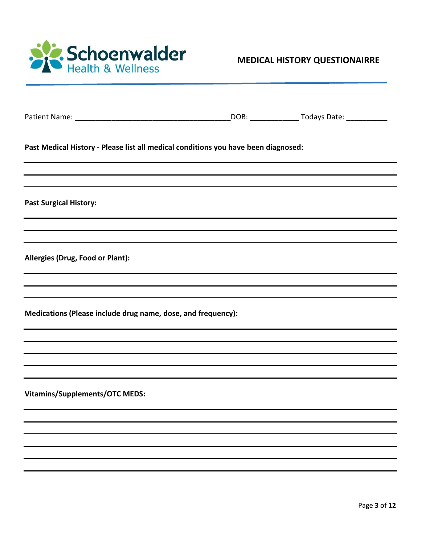

|                                                                                    | _DOB: _______________________ Todays Date: _______________ |
|------------------------------------------------------------------------------------|------------------------------------------------------------|
| Past Medical History - Please list all medical conditions you have been diagnosed: |                                                            |
| <b>Past Surgical History:</b>                                                      |                                                            |
|                                                                                    |                                                            |
| Allergies (Drug, Food or Plant):                                                   |                                                            |
|                                                                                    |                                                            |
| Medications (Please include drug name, dose, and frequency):                       |                                                            |
|                                                                                    |                                                            |
|                                                                                    |                                                            |
| <b>Vitamins/Supplements/OTC MEDS:</b>                                              |                                                            |
|                                                                                    |                                                            |
|                                                                                    |                                                            |
|                                                                                    |                                                            |
|                                                                                    |                                                            |
|                                                                                    |                                                            |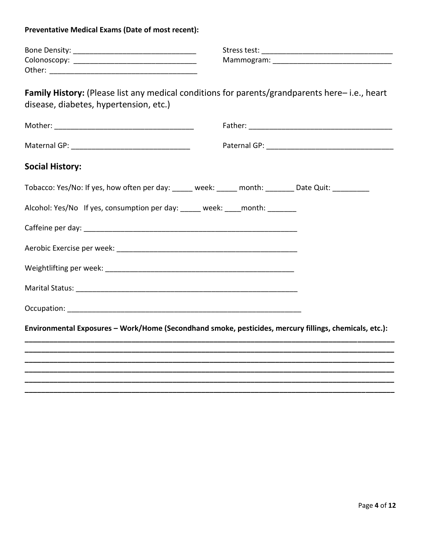**Preventative Medical Exams (Date of most recent):** 

| Bone Density: | Stress test: |
|---------------|--------------|
| Colonoscopy:  | Mammogram:   |
| Other:        |              |

Family History: (Please list any medical conditions for parents/grandparents here-i.e., heart disease, diabetes, hypertension, etc.)

| <b>Social History:</b>                                                                                 |  |  |
|--------------------------------------------------------------------------------------------------------|--|--|
| Tobacco: Yes/No: If yes, how often per day: _____ week: _____ month: _______ Date Quit: _________      |  |  |
| Alcohol: Yes/No If yes, consumption per day: _____ week: ____ month: _______                           |  |  |
|                                                                                                        |  |  |
|                                                                                                        |  |  |
|                                                                                                        |  |  |
|                                                                                                        |  |  |
|                                                                                                        |  |  |
| Environmental Exposures - Work/Home (Secondhand smoke, pesticides, mercury fillings, chemicals, etc.): |  |  |
|                                                                                                        |  |  |
|                                                                                                        |  |  |
|                                                                                                        |  |  |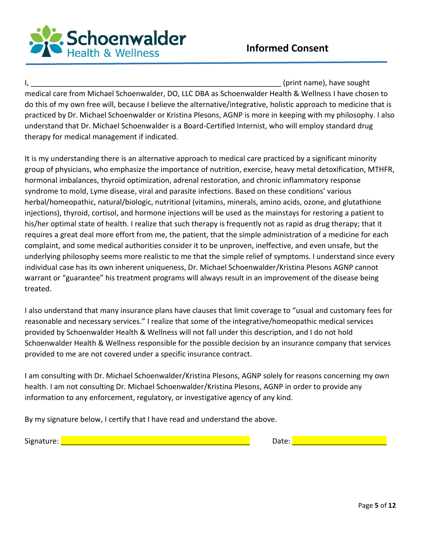

I, the contraction of the contraction of the contraction of the contraction of the contraction of the contraction of the contraction of the contraction of the contraction of the contraction of the contraction of the contra medical care from Michael Schoenwalder, DO, LLC DBA as Schoenwalder Health & Wellness I have chosen to do this of my own free will, because I believe the alternative/integrative, holistic approach to medicine that is practiced by Dr. Michael Schoenwalder or Kristina Plesons, AGNP is more in keeping with my philosophy. I also understand that Dr. Michael Schoenwalder is a Board-Certified Internist, who will employ standard drug therapy for medical management if indicated.

It is my understanding there is an alternative approach to medical care practiced by a significant minority group of physicians, who emphasize the importance of nutrition, exercise, heavy metal detoxification, MTHFR, hormonal imbalances, thyroid optimization, adrenal restoration, and chronic inflammatory response syndrome to mold, Lyme disease, viral and parasite infections. Based on these conditions' various herbal/homeopathic, natural/biologic, nutritional (vitamins, minerals, amino acids, ozone, and glutathione injections), thyroid, cortisol, and hormone injections will be used as the mainstays for restoring a patient to his/her optimal state of health. I realize that such therapy is frequently not as rapid as drug therapy; that it requires a great deal more effort from me, the patient, that the simple administration of a medicine for each complaint, and some medical authorities consider it to be unproven, ineffective, and even unsafe, but the underlying philosophy seems more realistic to me that the simple relief of symptoms. I understand since every individual case has its own inherent uniqueness, Dr. Michael Schoenwalder/Kristina Plesons AGNP cannot warrant or "guarantee" his treatment programs will always result in an improvement of the disease being treated.

I also understand that many insurance plans have clauses that limit coverage to "usual and customary fees for reasonable and necessary services." I realize that some of the integrative/homeopathic medical services provided by Schoenwalder Health & Wellness will not fall under this description, and I do not hold Schoenwalder Health & Wellness responsible for the possible decision by an insurance company that services provided to me are not covered under a specific insurance contract.

I am consulting with Dr. Michael Schoenwalder/Kristina Plesons, AGNP solely for reasons concerning my own health. I am not consulting Dr. Michael Schoenwalder/Kristina Plesons, AGNP in order to provide any information to any enforcement, regulatory, or investigative agency of any kind.

By my signature below, I certify that I have read and understand the above.

Signature: \_\_\_\_\_\_\_\_\_\_\_\_\_\_\_\_\_\_\_\_\_\_\_\_\_\_\_\_\_\_\_\_\_\_\_\_\_\_\_\_\_\_\_\_\_\_ Date: \_\_\_\_\_\_\_\_\_\_\_\_\_\_\_\_\_\_\_\_\_\_\_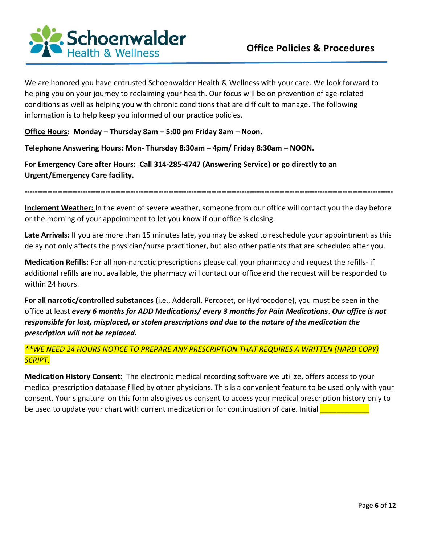

We are honored you have entrusted Schoenwalder Health & Wellness with your care. We look forward to helping you on your journey to reclaiming your health. Our focus will be on prevention of age-related conditions as well as helping you with chronic conditions that are difficult to manage. The following information is to help keep you informed of our practice policies.

**Office Hours: Monday – Thursday 8am – 5:00 pm Friday 8am – Noon.** 

**Telephone Answering Hours: Mon- Thursday 8:30am – 4pm/ Friday 8:30am – NOON.** 

**For Emergency Care after Hours: Call 314-285-4747 (Answering Service) or go directly to an Urgent/Emergency Care facility.** 

**Inclement Weather:** In the event of severe weather, someone from our office will contact you the day before or the morning of your appointment to let you know if our office is closing.

**--------------------------------------------------------------------------------------------------------------------------------------------------**

**Late Arrivals:** If you are more than 15 minutes late, you may be asked to reschedule your appointment as this delay not only affects the physician/nurse practitioner, but also other patients that are scheduled after you.

**Medication Refills:** For all non-narcotic prescriptions please call your pharmacy and request the refills- if additional refills are not available, the pharmacy will contact our office and the request will be responded to within 24 hours.

**For all narcotic/controlled substances** (i.e., Adderall, Percocet, or Hydrocodone), you must be seen in the office at least *every 6 months for ADD Medications/ every 3 months for Pain Medications*. *Our office is not responsible for lost, misplaced, or stolen prescriptions and due to the nature of the medication the prescription will not be replaced.*

### *\*\*WE NEED 24 HOURS NOTICE TO PREPARE ANY PRESCRIPTION THAT REQUIRES A WRITTEN (HARD COPY) SCRIPT.*

**Medication History Consent:** The electronic medical recording software we utilize, offers access to your medical prescription database filled by other physicians. This is a convenient feature to be used only with your consent. Your signature on this form also gives us consent to access your medical prescription history only to be used to update your chart with current medication or for continuation of care. Initial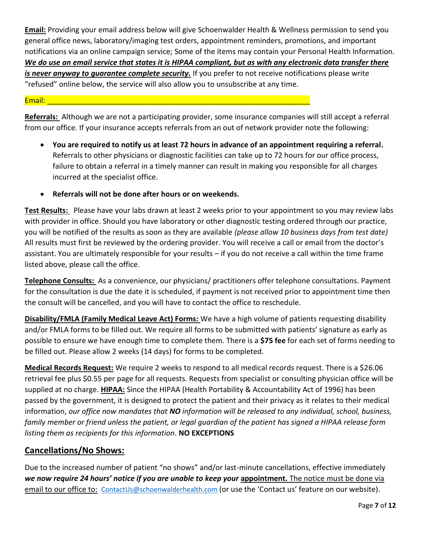**Email:** Providing your email address below will give Schoenwalder Health & Wellness permission to send you general office news, laboratory/imaging test orders, appointment reminders, promotions, and important notifications via an online campaign service; Some of the items may contain your Personal Health Information. *We do use an email service that states it is HIPAA compliant, but as with any electronic data transfer there is never anyway to guarantee complete security.* If you prefer to not receive notifications please write "refused" online below, the service will also allow you to unsubscribe at any time.

#### Email: \_\_\_\_\_\_\_\_\_\_\_\_\_\_\_\_\_\_\_\_\_\_\_\_\_\_\_\_\_\_\_\_\_\_\_\_\_\_\_\_\_\_\_\_\_\_\_\_\_\_\_\_\_\_\_\_\_\_\_\_\_\_\_\_

**Referrals:** Although we are not a participating provider, some insurance companies will still accept a referral from our office. If your insurance accepts referrals from an out of network provider note the following:

- **You are required to notify us at least 72 hours in advance of an appointment requiring a referral.**  Referrals to other physicians or diagnostic facilities can take up to 72 hours for our office process, failure to obtain a referral in a timely manner can result in making you responsible for all charges incurred at the specialist office.
- **Referrals will not be done after hours or on weekends.**

**Test Results:** Please have your labs drawn at least 2 weeks prior to your appointment so you may review labs with provider in office. Should you have laboratory or other diagnostic testing ordered through our practice, you will be notified of the results as soon as they are available *(please allow 10 business days from test date)* All results must first be reviewed by the ordering provider. You will receive a call or email from the doctor's assistant. You are ultimately responsible for your results – if you do not receive a call within the time frame listed above, please call the office.

**Telephone Consults:** As a convenience, our physicians/ practitioners offer telephone consultations. Payment for the consultation is due the date it is scheduled, if payment is not received prior to appointment time then the consult will be cancelled, and you will have to contact the office to reschedule.

**Disability/FMLA (Family Medical Leave Act) Forms:** We have a high volume of patients requesting disability and/or FMLA forms to be filled out. We require all forms to be submitted with patients' signature as early as possible to ensure we have enough time to complete them. There is a **\$75 fee** for each set of forms needing to be filled out. Please allow 2 weeks (14 days) for forms to be completed.

**Medical Records Request:** We require 2 weeks to respond to all medical records request. There is a \$26.06 retrieval fee plus \$0.55 per page for all requests. Requests from specialist or consulting physician office will be supplied at no charge. **HIPAA:** Since the HIPAA (Health Portability & Accountability Act of 1996) has been passed by the government, it is designed to protect the patient and their privacy as it relates to their medical information, *our office now mandates that NO information will be released to any individual, school, business, family member or friend unless the patient, or legal guardian of the patient has signed a HIPAA release form listing them as recipients for this information*. **NO EXCEPTIONS**

## **Cancellations/No Shows:**

Due to the increased number of patient "no shows" and/or last-minute cancellations, effective immediately *we now require 24 hours' notice if you are unable to keep your* **appointment.** The notice must be done via email to our office to: [ContactUs@schoenwalderhealth.com](mailto:ContactUs@schoenwalderhealth.com) (or use the 'Contact us' feature on our website).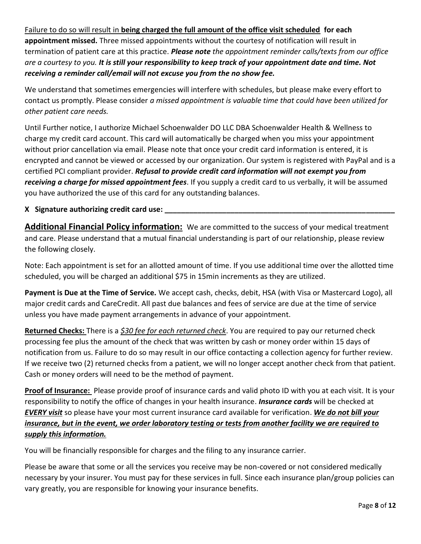Failure to do so will result in **being charged the full amount of the office visit scheduled for each** 

**appointment missed.** Three missed appointments without the courtesy of notification will result in termination of patient care at this practice. *Please note the appointment reminder calls/texts from our office are a courtesy to you. It is still your responsibility to keep track of your appointment date and time. Not receiving a reminder call/email will not excuse you from the no show fee.*

We understand that sometimes emergencies will interfere with schedules, but please make every effort to contact us promptly. Please consider *a missed appointment is valuable time that could have been utilized for other patient care needs.*

Until Further notice, I authorize Michael Schoenwalder DO LLC DBA Schoenwalder Health & Wellness to charge my credit card account. This card will automatically be charged when you miss your appointment without prior cancellation via email. Please note that once your credit card information is entered, it is encrypted and cannot be viewed or accessed by our organization. Our system is registered with PayPal and is a certified PCI compliant provider. *Refusal to provide credit card information will not exempt you from receiving a charge for missed appointment fees*. If you supply a credit card to us verbally, it will be assumed you have authorized the use of this card for any outstanding balances.

#### **X** Signature authorizing credit card use:

**Additional Financial Policy information:** We are committed to the success of your medical treatment and care. Please understand that a mutual financial understanding is part of our relationship, please review the following closely.

Note: Each appointment is set for an allotted amount of time. If you use additional time over the allotted time scheduled, you will be charged an additional \$75 in 15min increments as they are utilized.

**Payment is Due at the Time of Service.** We accept cash, checks, debit, HSA (with Visa or Mastercard Logo), all major credit cards and CareCredit. All past due balances and fees of service are due at the time of service unless you have made payment arrangements in advance of your appointment.

**Returned Checks:** There is a *\$30 fee for each returned check*. You are required to pay our returned check processing fee plus the amount of the check that was written by cash or money order within 15 days of notification from us. Failure to do so may result in our office contacting a collection agency for further review. If we receive two (2) returned checks from a patient, we will no longer accept another check from that patient. Cash or money orders will need to be the method of payment.

**Proof of Insurance:** Please provide proof of insurance cards and valid photo ID with you at each visit. It is your responsibility to notify the office of changes in your health insurance. *Insurance cards* will be checked at *EVERY visit* so please have your most current insurance card available for verification. *We do not bill your insurance, but in the event, we order laboratory testing or tests from another facility we are required to supply this information.* 

You will be financially responsible for charges and the filing to any insurance carrier.

Please be aware that some or all the services you receive may be non-covered or not considered medically necessary by your insurer. You must pay for these services in full. Since each insurance plan/group policies can vary greatly, you are responsible for knowing your insurance benefits.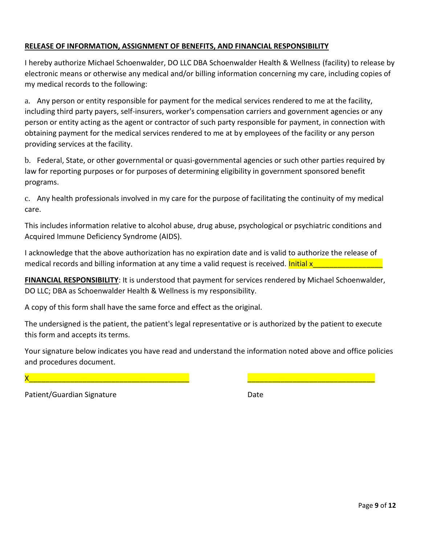#### **RELEASE OF INFORMATION, ASSIGNMENT OF BENEFITS, AND FINANCIAL RESPONSIBILITY**

I hereby authorize Michael Schoenwalder, DO LLC DBA Schoenwalder Health & Wellness (facility) to release by electronic means or otherwise any medical and/or billing information concerning my care, including copies of my medical records to the following:

a. Any person or entity responsible for payment for the medical services rendered to me at the facility, including third party payers, self-insurers, worker's compensation carriers and government agencies or any person or entity acting as the agent or contractor of such party responsible for payment, in connection with obtaining payment for the medical services rendered to me at by employees of the facility or any person providing services at the facility.

b. Federal, State, or other governmental or quasi-governmental agencies or such other parties required by law for reporting purposes or for purposes of determining eligibility in government sponsored benefit programs.

c. Any health professionals involved in my care for the purpose of facilitating the continuity of my medical care.

This includes information relative to alcohol abuse, drug abuse, psychological or psychiatric conditions and Acquired Immune Deficiency Syndrome (AIDS).

I acknowledge that the above authorization has no expiration date and is valid to authorize the release of medical records and billing information at any time a valid request is received. Initial x

**FINANCIAL RESPONSIBILITY**: It is understood that payment for services rendered by Michael Schoenwalder, DO LLC; DBA as Schoenwalder Health & Wellness is my responsibility.

A copy of this form shall have the same force and effect as the original.

The undersigned is the patient, the patient's legal representative or is authorized by the patient to execute this form and accepts its terms.

Your signature below indicates you have read and understand the information noted above and office policies and procedures document.

X\_\_\_\_\_\_\_\_\_\_\_\_\_\_\_\_\_\_\_\_\_\_\_\_\_\_\_\_\_\_\_\_\_\_\_\_\_\_\_ \_\_\_\_\_\_\_\_\_\_\_\_\_\_\_\_\_\_\_\_\_\_\_\_\_\_\_\_\_\_\_

Patient/Guardian Signature Date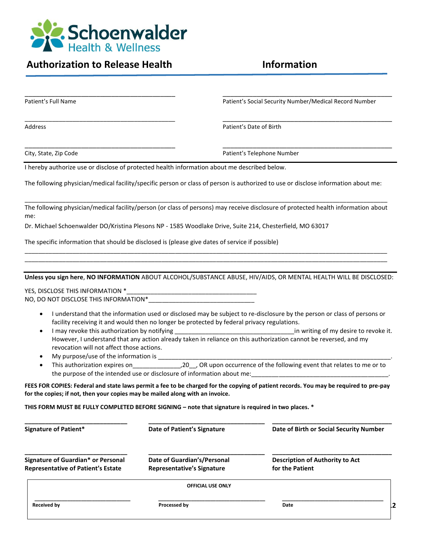

# Authorization to Release Health **Information**

|                                                                                                                 | <b>OFFICIAL USE ONLY</b>                                                                    |                                                                                                                                       |
|-----------------------------------------------------------------------------------------------------------------|---------------------------------------------------------------------------------------------|---------------------------------------------------------------------------------------------------------------------------------------|
| Signature of Guardian* or Personal<br><b>Representative of Patient's Estate</b>                                 | Date of Guardian's/Personal<br><b>Representative's Signature</b>                            | <b>Description of Authority to Act</b><br>for the Patient                                                                             |
| <b>Signature of Patient*</b>                                                                                    | Date of Patient's Signature                                                                 | Date of Birth or Social Security Number                                                                                               |
| THIS FORM MUST BE FULLY COMPLETED BEFORE SIGNING - note that signature is required in two places. *             |                                                                                             |                                                                                                                                       |
| for the copies; if not, then your copies may be mailed along with an invoice.                                   |                                                                                             |                                                                                                                                       |
|                                                                                                                 |                                                                                             | FEES FOR COPIES: Federal and state laws permit a fee to be charged for the copying of patient records. You may be required to pre-pay |
|                                                                                                                 |                                                                                             | the purpose of the intended use or disclosure of information about me:                                                                |
| ٠<br>$\bullet$                                                                                                  |                                                                                             |                                                                                                                                       |
| revocation will not affect those actions.                                                                       |                                                                                             |                                                                                                                                       |
| I may revoke this authorization by notifying<br>٠                                                               |                                                                                             | However, I understand that any action already taken in reliance on this authorization cannot be reversed, and my                      |
| $\bullet$                                                                                                       | facility receiving it and would then no longer be protected by federal privacy regulations. | I understand that the information used or disclosed may be subject to re-disclosure by the person or class of persons or              |
|                                                                                                                 |                                                                                             |                                                                                                                                       |
|                                                                                                                 |                                                                                             |                                                                                                                                       |
|                                                                                                                 |                                                                                             | Unless you sign here, NO INFORMATION ABOUT ALCOHOL/SUBSTANCE ABUSE, HIV/AIDS, OR MENTAL HEALTH WILL BE DISCLOSED:                     |
|                                                                                                                 |                                                                                             |                                                                                                                                       |
| The specific information that should be disclosed is (please give dates of service if possible)                 |                                                                                             |                                                                                                                                       |
|                                                                                                                 |                                                                                             |                                                                                                                                       |
| me:<br>Dr. Michael Schoenwalder DO/Kristina Plesons NP - 1585 Woodlake Drive, Suite 214, Chesterfield, MO 63017 |                                                                                             |                                                                                                                                       |
|                                                                                                                 |                                                                                             | The following physician/medical facility/person (or class of persons) may receive disclosure of protected health information about    |
|                                                                                                                 |                                                                                             | The following physician/medical facility/specific person or class of person is authorized to use or disclose information about me:    |
| I hereby authorize use or disclose of protected health information about me described below.                    |                                                                                             |                                                                                                                                       |
| City, State, Zip Code                                                                                           |                                                                                             | Patient's Telephone Number                                                                                                            |
| Address                                                                                                         |                                                                                             | Patient's Date of Birth                                                                                                               |
|                                                                                                                 |                                                                                             |                                                                                                                                       |
| Patient's Full Name                                                                                             |                                                                                             | Patient's Social Security Number/Medical Record Number                                                                                |
|                                                                                                                 |                                                                                             |                                                                                                                                       |

**\_\_\_\_\_\_\_\_\_\_\_\_\_\_\_\_\_\_\_\_\_\_\_\_\_\_\_\_\_\_\_\_\_\_\_ \_\_\_\_\_\_\_\_\_\_\_\_\_\_\_\_\_\_\_\_\_\_\_\_\_\_\_\_\_\_\_\_\_\_\_\_\_\_\_ \_\_\_\_\_\_\_\_\_\_\_\_\_\_\_\_\_\_\_\_\_\_\_\_\_\_\_\_\_\_\_\_\_\_\_\_\_**

**Received by Date**<br> **Received by Date**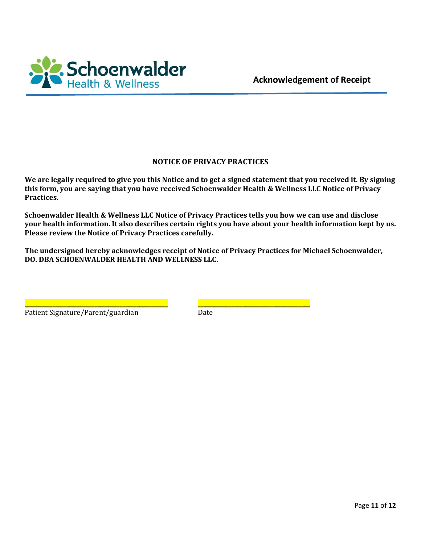

#### **NOTICE OF PRIVACY PRACTICES**

**We are legally required to give you this Notice and to get a signed statement that you received it. By signing this form, you are saying that you have received Schoenwalder Health & Wellness LLC Notice of Privacy Practices.**

**Schoenwalder Health & Wellness LLC Notice of Privacy Practices tells you how we can use and disclose your health information. It also describes certain rights you have about your health information kept by us. Please review the Notice of Privacy Practices carefully.**

**The undersigned hereby acknowledges receipt of Notice of Privacy Practices for Michael Schoenwalder, DO. DBA SCHOENWALDER HEALTH AND WELLNESS LLC.**

| Patient Signature/Parent/guardian | Date |
|-----------------------------------|------|